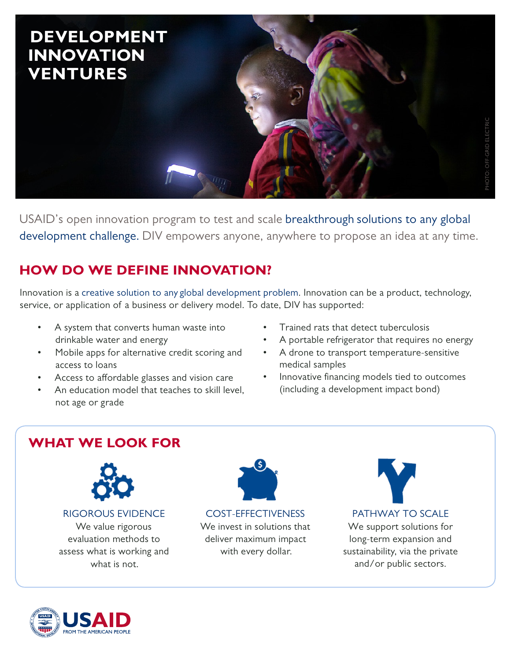

USAID's open innovation program to test and scale breakthrough solutions to any global development challenge. DIV empowers anyone, anywhere to propose an idea at any time.

## **HOW DO WE DEFINE INNOVATION?**

Innovation is a creative solution to any global development problem. Innovation can be a product, technology, service, or application of a business or delivery model. To date, DIV has supported:

- A system that converts human waste into drinkable water and energy
- Mobile apps for alternative credit scoring and access to loans
- Access to affordable glasses and vision care
- An education model that teaches to skill level. not age or grade
- Trained rats that detect tuberculosis
- A portable refrigerator that requires no energy
- A drone to transport temperature-sensitive medical samples
- Innovative financing models tied to outcomes (including a development impact bond)

## **WHAT WE LOOK FOR**



RIGOROUS EVIDENCE

We value rigorous evaluation methods to assess what is working and what is not.



COST-EFFECTIVENESS We invest in solutions that deliver maximum impact with every dollar.



We support solutions for long-term expansion and sustainability, via the private and/or public sectors.